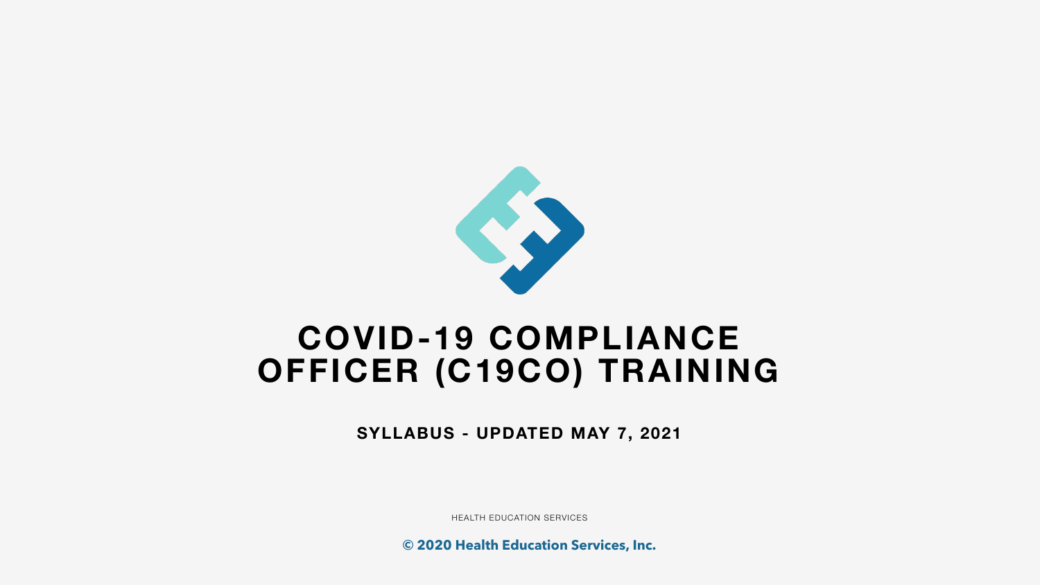# **COVID-19 COMPLIANCE OFFICER (C19CO) TRAINING**

**SYLLABUS - UPDATED MAY 7, 2021**

HEALTH EDUCATION SERVICES





**© 2020 Health Education Services, Inc.**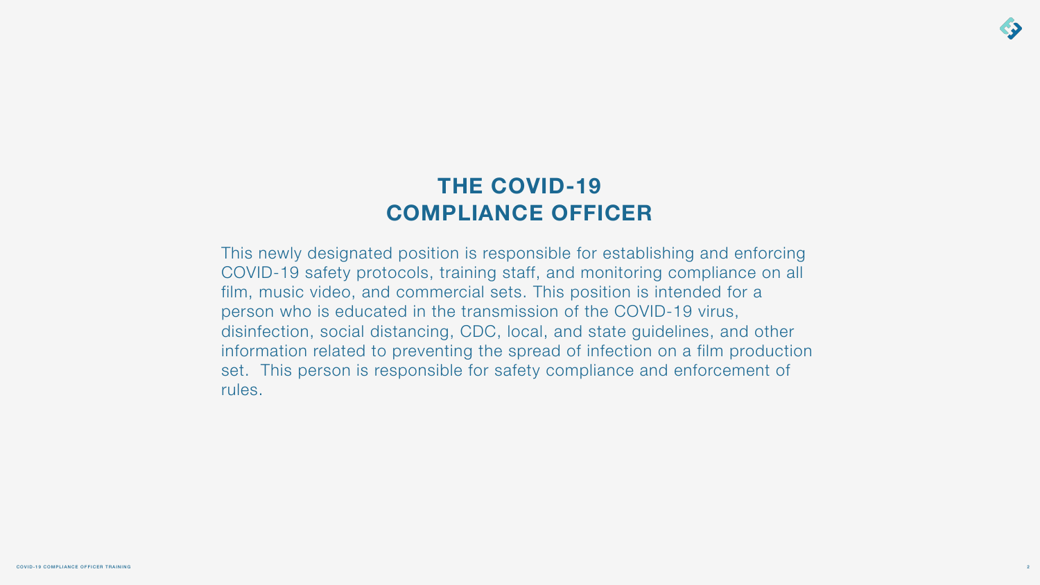This newly designated position is responsible for establishing and enforcing COVID-19 safety protocols, training staff, and monitoring compliance on all film, music video, and commercial sets. This position is intended for a person who is educated in the transmission of the COVID-19 virus, disinfection, social distancing, CDC, local, and state guidelines, and other information related to preventing the spread of infection on a film production set. This person is responsible for safety compliance and enforcement of rules.



# **THE COVID-19 COMPLIANCE OFFICER**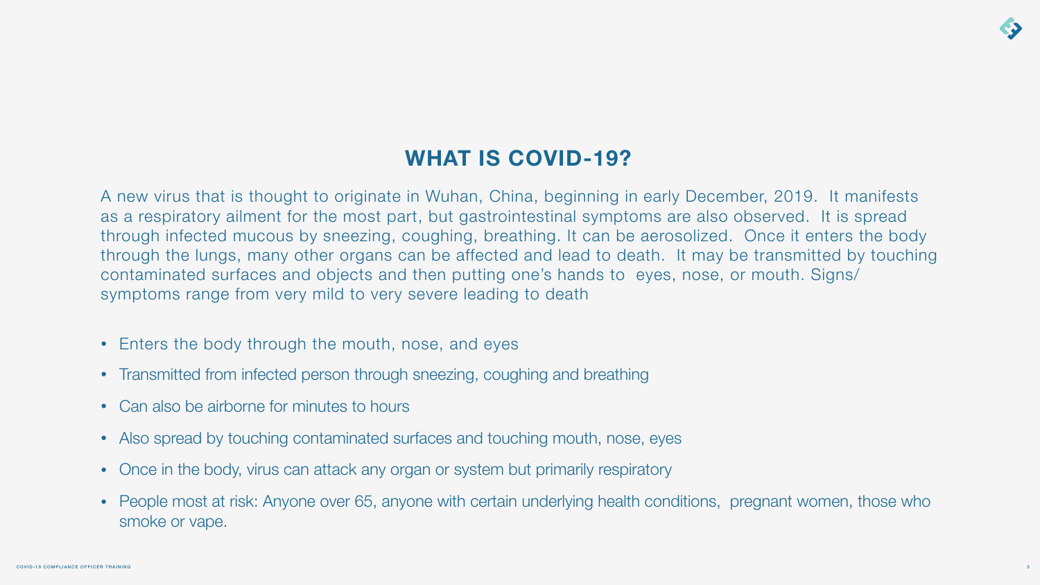# **WHAT IS COVID-19?**

A new virus that is thought to originate in Wuhan, China, beginning in early December, 2019. It manifests as a respiratory ailment for the most part, but gastrointestinal symptoms are also observed. It is spread through infected mucous by sneezing, coughing, breathing. It can be aerosolized. Once it enters the body through the lungs, many other organs can be affected and lead to death. It may be transmitted by touching contaminated surfaces and objects and then putting one's hands to eyes, nose, or mouth. Signs/ symptoms range from very mild to very severe leading to death

- Enters the body through the mouth, nose, and eyes
- Transmitted from infected person through sneezing, coughing and breathing
- Can also be airborne for minutes to hours
- Also spread by touching contaminated surfaces and touching mouth, nose, eyes
- Once in the body, virus can attack any organ or system but primarily respiratory
- smoke or vape.

• People most at risk: Anyone over 65, anyone with certain underlying health conditions, pregnant women, those who

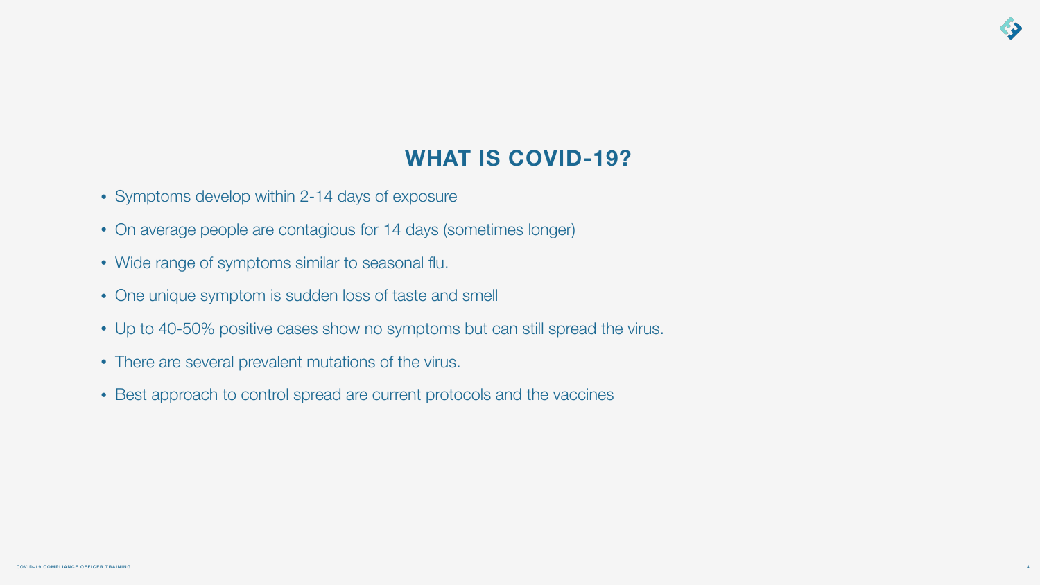# **WHAT IS COVID-19?**



- Symptoms develop within 2-14 days of exposure
- On average people are contagious for 14 days (sometimes longer)
- Wide range of symptoms similar to seasonal flu.
- One unique symptom is sudden loss of taste and smell
- Up to 40-50% positive cases show no symptoms but can still spread the virus.
- There are several prevalent mutations of the virus.
- Best approach to control spread are current protocols and the vaccines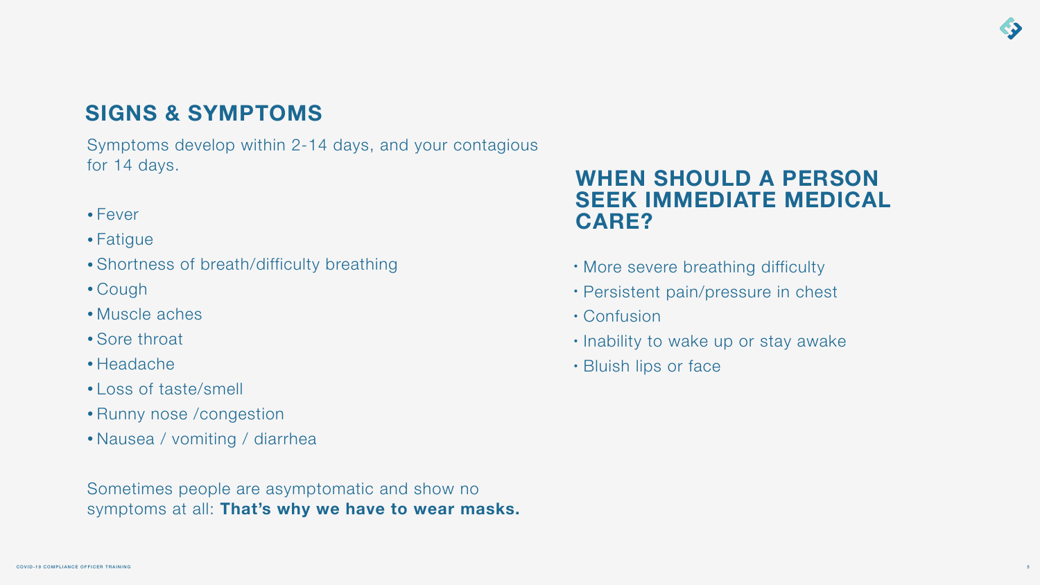# **SIGNS & SYMPTOMS**

- Fever
- Fatigue
- Shortness of breath/difficulty breathing
- Cough
- Muscle aches
- Sore throat
- Headache
- Loss of taste/smell
- Runny nose /congestion
- Nausea / vomiting / diarrhea

Symptoms develop within 2-14 days, and your contagious for 14 days.

Sometimes people are asymptomatic and show no symptoms at all: **That's why we have to wear masks.**

## **WHEN SHOULD A PERSON SEEK IMMEDIATE MEDICAL CARE?**

- More severe breathing difficulty
- Persistent pain/pressure in chest
- Confusion
- Inability to wake up or stay awake
- Bluish lips or face



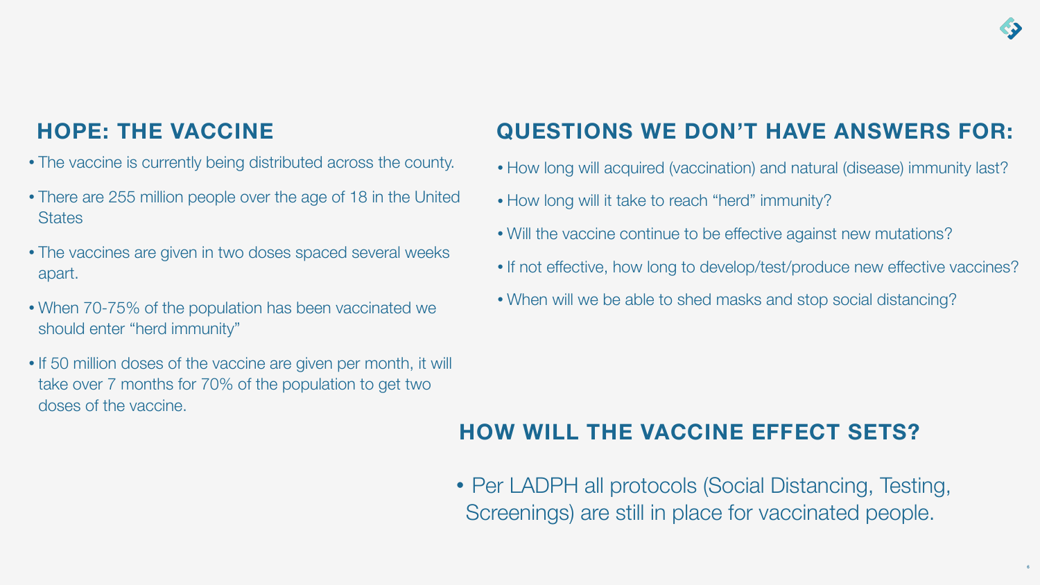# **HOPE: THE VACCINE**

- The vaccine is currently being distributed across the county.
- There are 255 million people over the age of 18 in the United **States**
- The vaccines are given in two doses spaced several weeks apart.
- When 70-75% of the population has been vaccinated we should enter "herd immunity"
- If 50 million doses of the vaccine are given per month, it will take over 7 months for 70% of the population to get two doses of the vaccine.

- How long will acquired (vaccination) and natural (disease) immunity last?
- How long will it take to reach "herd" immunity?
- Will the vaccine continue to be effective against new mutations?
- If not effective, how long to develop/test/produce new effective vaccines?
- When will we be able to shed masks and stop social distancing?

• Per LADPH all protocols (Social Distancing, Testing, Screenings) are still in place for vaccinated people.







# **QUESTIONS WE DON'T HAVE ANSWERS FOR:**

# **HOW WILL THE VACCINE EFFECT SETS?**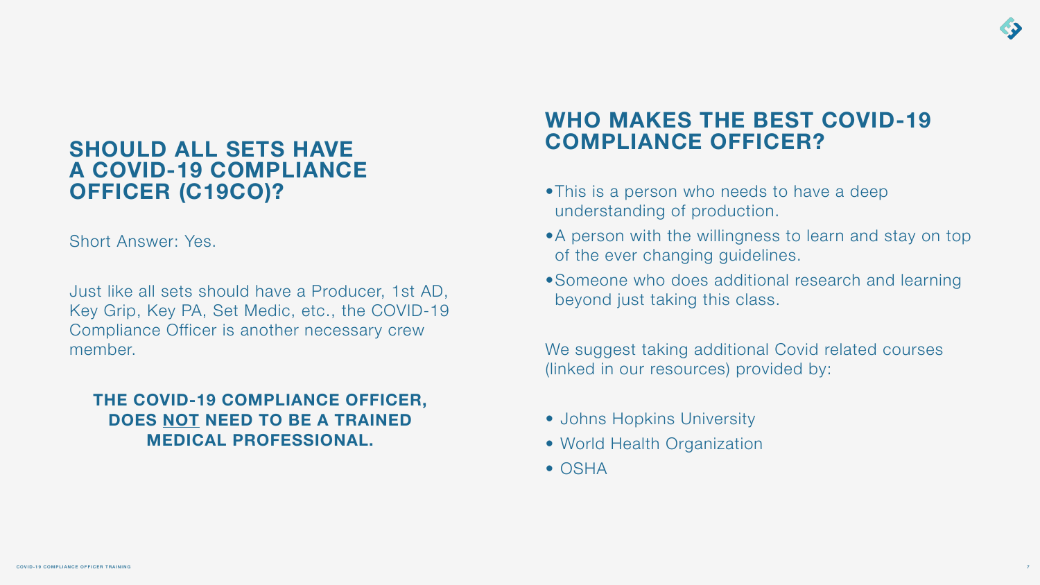## **SHOULD ALL SETS HAVE A COVID-19 COMPLIANCE OFFICER (C19CO)?**

Short Answer: Yes.

Just like all sets should have a Producer, 1st AD, Key Grip, Key PA, Set Medic, etc., the COVID-19 Compliance Officer is another necessary crew member.

**THE COVID-19 COMPLIANCE OFFICER, DOES NOT NEED TO BE A TRAINED MEDICAL PROFESSIONAL.**

# **WHO MAKES THE BEST COVID-19 COMPLIANCE OFFICER?**

- •This is a person who needs to have a deep understanding of production.
- •A person with the willingness to learn and stay on top of the ever changing guidelines.
- •Someone who does additional research and learning beyond just taking this class.

We suggest taking additional Covid related courses (linked in our resources) provided by:

- Johns Hopkins University
- World Health Organization
- OSHA

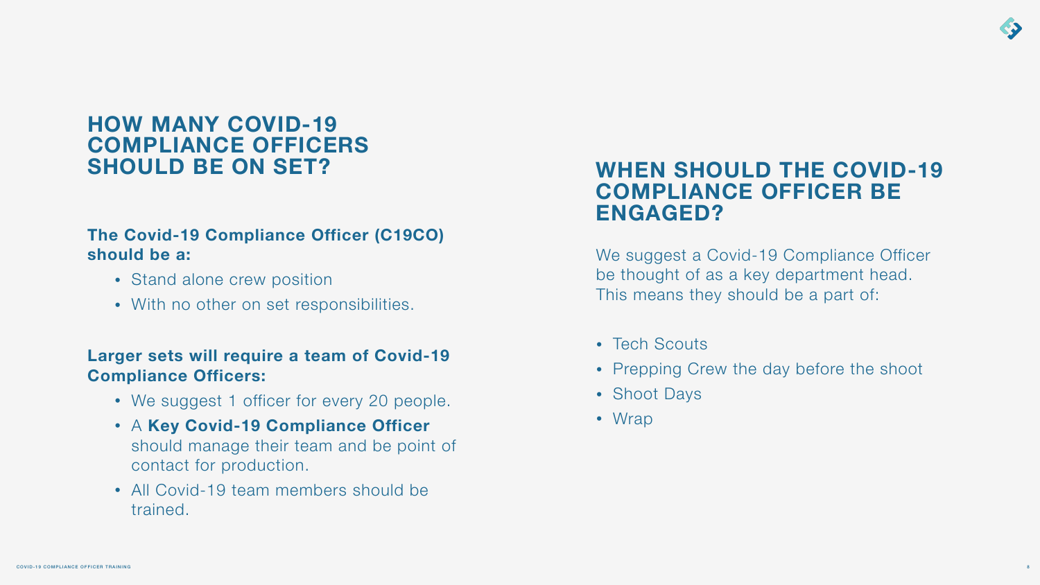## **HOW MANY COVID-19 COMPLIANCE OFFICERS SHOULD BE ON SET?**

- Stand alone crew position
- With no other on set responsibilities.

### **The Covid-19 Compliance Officer (C19CO) should be a:**

### **Larger sets will require a team of Covid-19 Compliance Officers:**

- We suggest 1 officer for every 20 people.
- A **Key Covid-19 Compliance Officer**  should manage their team and be point of contact for production.
- All Covid-19 team members should be trained.

## **WHEN SHOULD THE COVID-19 COMPLIANCE OFFICER BE ENGAGED?**

We suggest a Covid-19 Compliance Officer be thought of as a key department head. This means they should be a part of:

- Tech Scouts
- Prepping Crew the day before the shoot
- Shoot Days
- Wrap

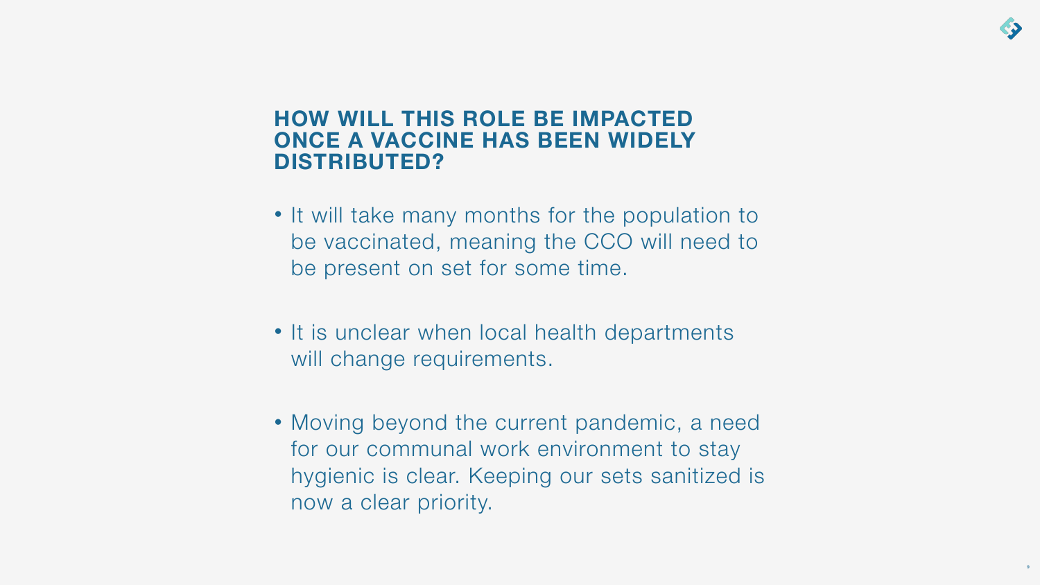## **HOW WILL THIS ROLE BE IMPACTED ONCE A VACCINE HAS BEEN WIDELY DISTRIBUTED?**

- It will take many months for the population to be vaccinated, meaning the CCO will need to be present on set for some time.
- It is unclear when local health departments will change requirements.
- Moving beyond the current pandemic, a need for our communal work environment to stay hygienic is clear. Keeping our sets sanitized is now a clear priority.

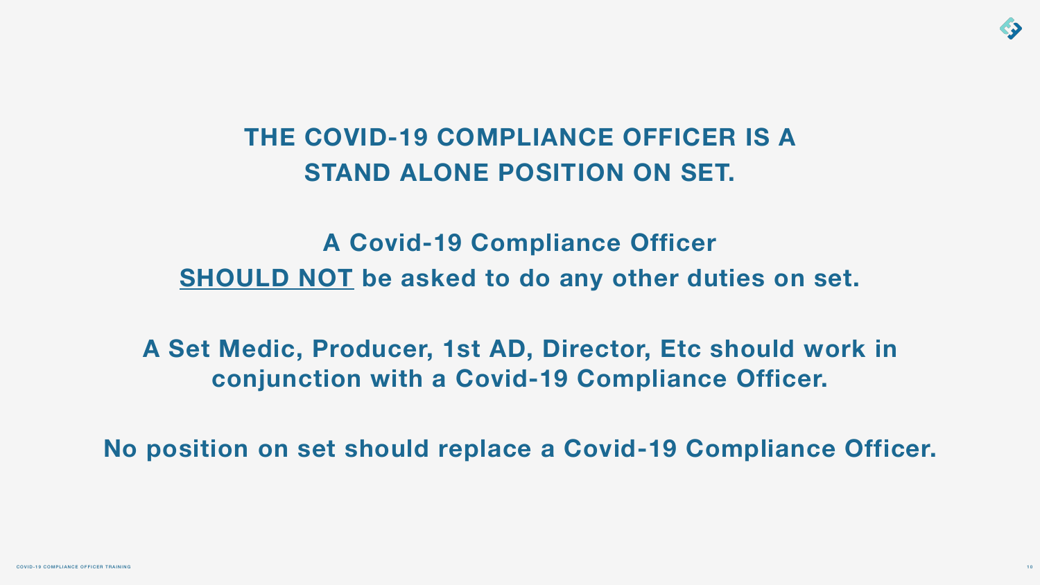# **THE COVID-19 COMPLIANCE OFFICER IS A STAND ALONE POSITION ON SET.**

**A Covid-19 Compliance Officer SHOULD NOT be asked to do any other duties on set.** 

**A Set Medic, Producer, 1st AD, Director, Etc should work in conjunction with a Covid-19 Compliance Officer.** 



**No position on set should replace a Covid-19 Compliance Officer.**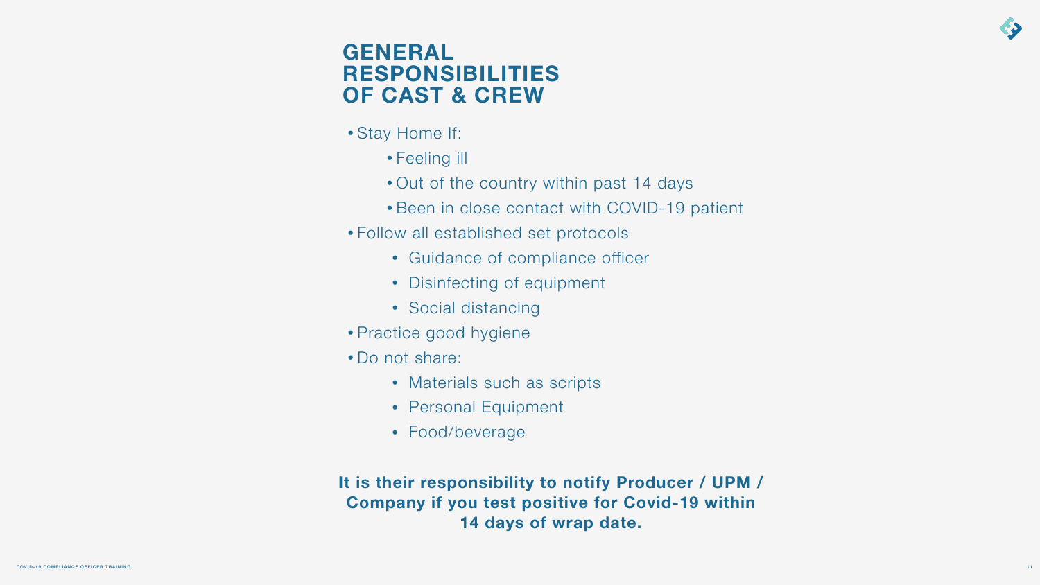## **GENERAL RESPONSIBILITIES OF CAST & CREW**

- Stay Home If:
	- Feeling ill
	- Out of the country within past 14 days
	- Been in close contact with COVID-19 patient
- Follow all established set protocols
	- Guidance of compliance officer
	- Disinfecting of equipment
	- Social distancing
- Practice good hygiene
- Do not share:
	- Materials such as scripts
	- Personal Equipment
	- Food/beverage

**It is their responsibility to notify Producer / UPM / Company if you test positive for Covid-19 within 14 days of wrap date.**



 $11$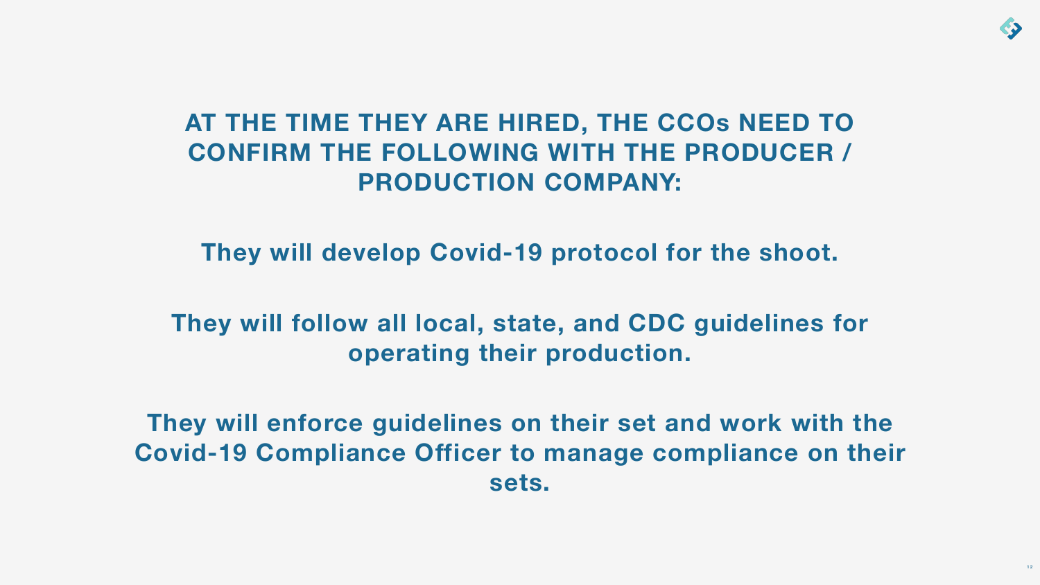# **AT THE TIME THEY ARE HIRED, THE CCOs NEED TO CONFIRM THE FOLLOWING WITH THE PRODUCER / PRODUCTION COMPANY:**

**They will develop Covid-19 protocol for the shoot.** 

**They will follow all local, state, and CDC guidelines for operating their production.** 

**They will enforce guidelines on their set and work with the Covid-19 Compliance Officer to manage compliance on their sets.**

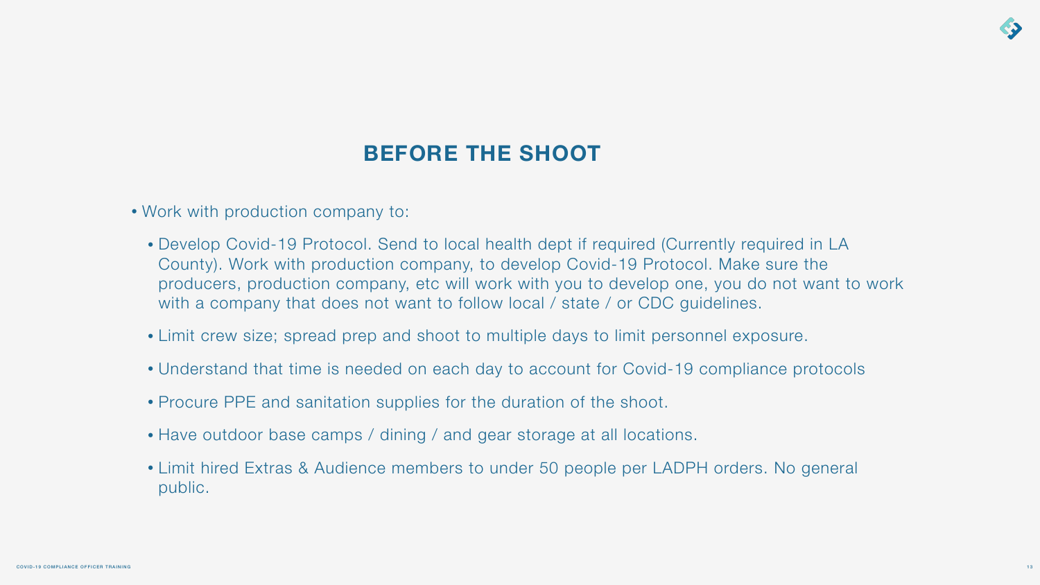- Work with production company to:
	- Develop Covid-19 Protocol. Send to local health dept if required (Currently required in LA County). Work with production company, to develop Covid-19 Protocol. Make sure the producers, production company, etc will work with you to develop one, you do not want to work with a company that does not want to follow local / state / or CDC guidelines.
	- Limit crew size; spread prep and shoot to multiple days to limit personnel exposure.
	- Understand that time is needed on each day to account for Covid-19 compliance protocols
	- Procure PPE and sanitation supplies for the duration of the shoot.
	- Have outdoor base camps / dining / and gear storage at all locations.
	- Limit hired Extras & Audience members to under 50 people per LADPH orders. No general public.



# **BEFORE THE SHOOT**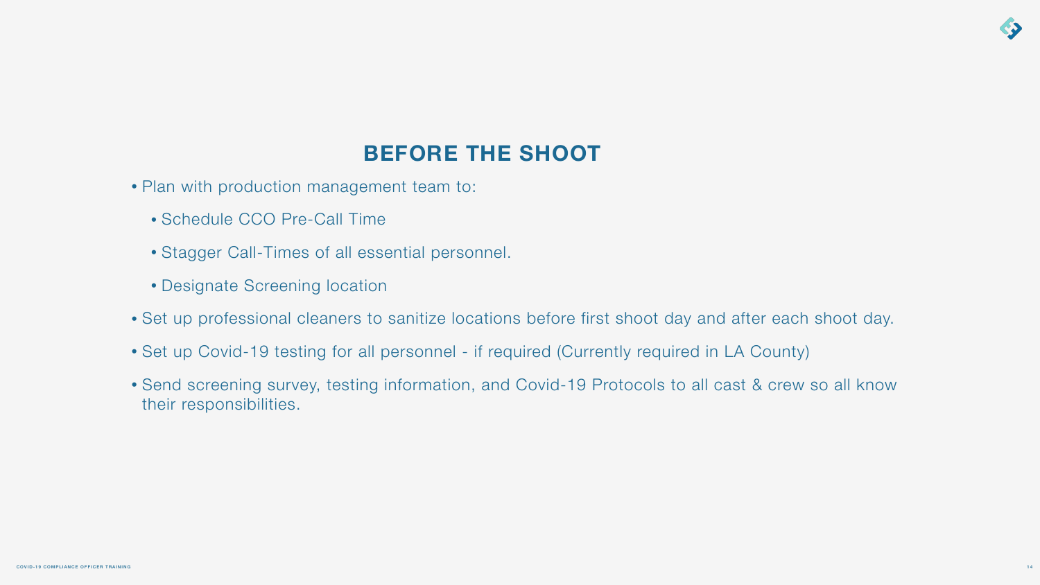- Plan with production management team to:
	- Schedule CCO Pre-Call Time
	- Stagger Call-Times of all essential personnel.
	- Designate Screening location
- Set up professional cleaners to sanitize locations before first shoot day and after each shoot day.
- Set up Covid-19 testing for all personnel if required (Currently required in LA County)
- Send screening survey, testing information, and Covid-19 Protocols to all cast & crew so all know their responsibilities.



# **BEFORE THE SHOOT**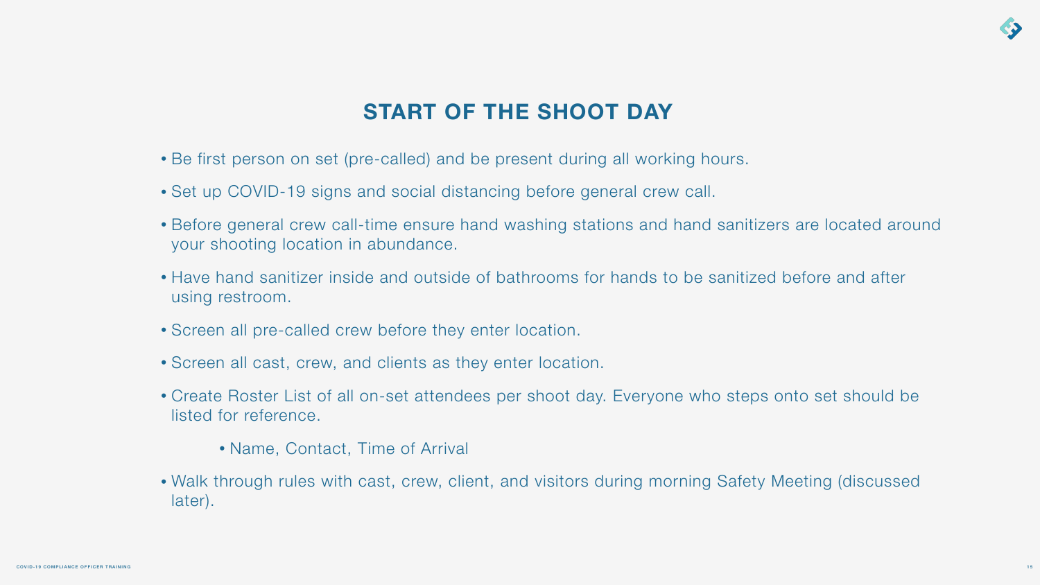- Be first person on set (pre-called) and be present during all working hours.
- Set up COVID-19 signs and social distancing before general crew call.
- Before general crew call-time ensure hand washing stations and hand sanitizers are located around your shooting location in abundance.
- Have hand sanitizer inside and outside of bathrooms for hands to be sanitized before and after using restroom.
- Screen all pre-called crew before they enter location.
- Screen all cast, crew, and clients as they enter location.
- Create Roster List of all on-set attendees per shoot day. Everyone who steps onto set should be listed for reference.
	- Name, Contact, Time of Arrival
- later).

• Walk through rules with cast, crew, client, and visitors during morning Safety Meeting (discussed



# **START OF THE SHOOT DAY**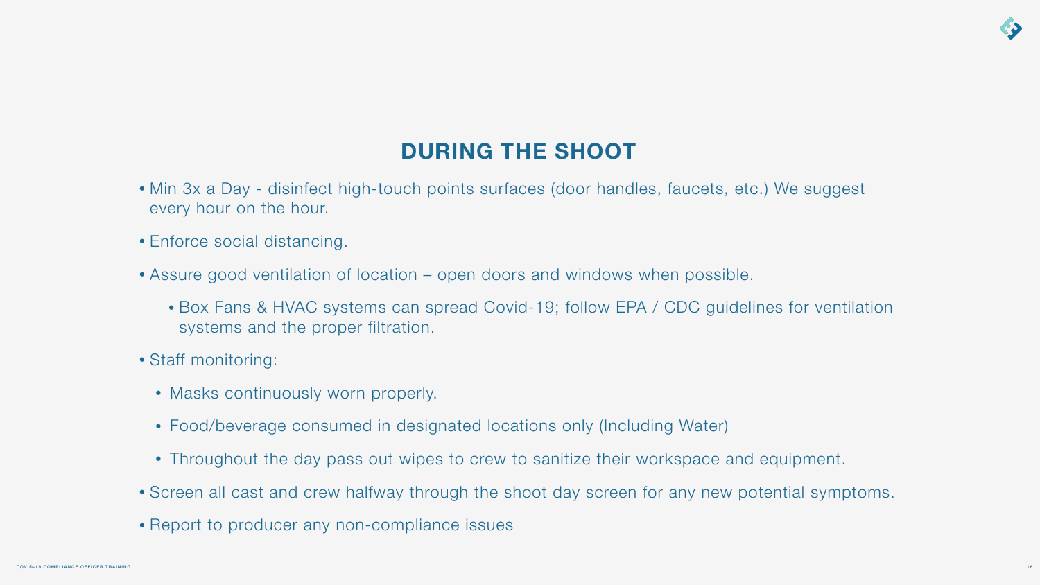• Box Fans & HVAC systems can spread Covid-19; follow EPA / CDC guidelines for ventilation

- every hour on the hour.
- Enforce social distancing.
- Assure good ventilation of location open doors and windows when possible.
	- systems and the proper filtration.
- Staff monitoring:
	- Masks continuously worn properly.
	- Food/beverage consumed in designated locations only (Including Water)
	-
- 
- Report to producer any non-compliance issues

• Min 3x a Day - disinfect high-touch points surfaces (door handles, faucets, etc.) We suggest

• Throughout the day pass out wipes to crew to sanitize their workspace and equipment.

• Screen all cast and crew halfway through the shoot day screen for any new potential symptoms.



# **DURING THE SHOOT**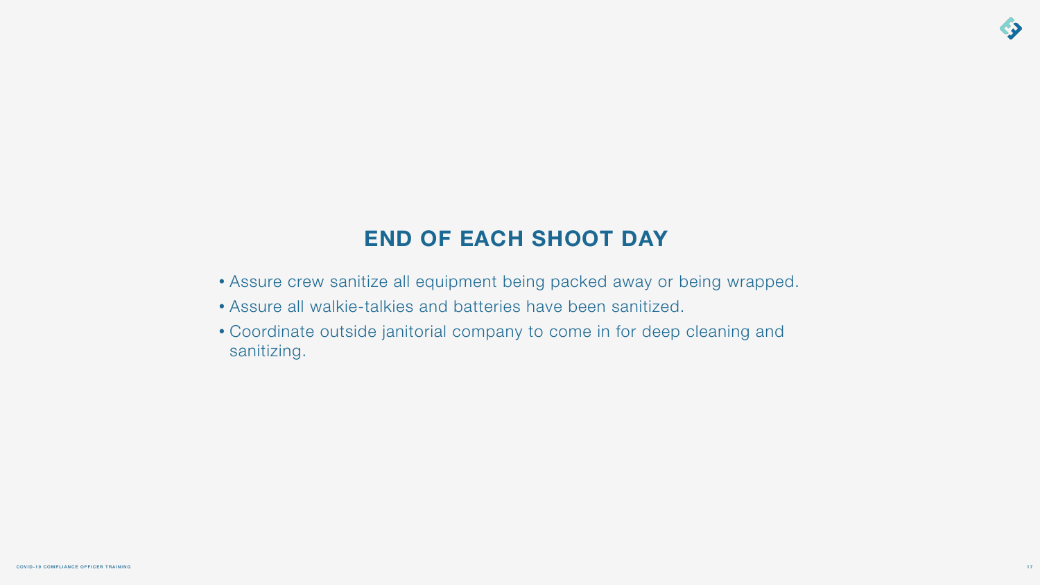- Assure crew sanitize all equipment being packed away or being wrapped.
- Assure all walkie-talkies and batteries have been sanitized.
- Coordinate outside janitorial company to come in for deep cleaning and sanitizing.



# **END OF EACH SHOOT DAY**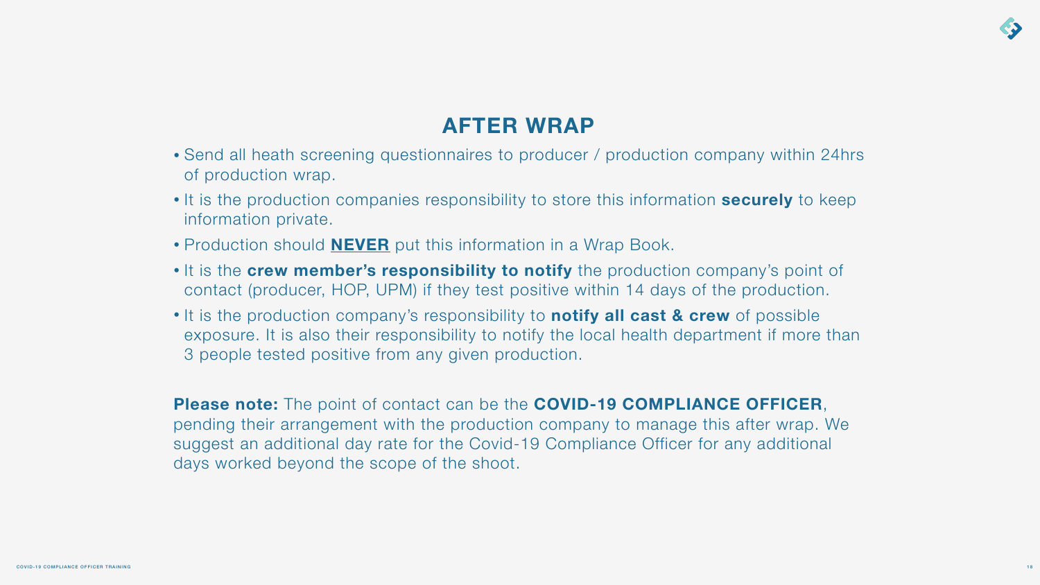• It is the **crew member's responsibility to notify** the production company's point of contact (producer, HOP, UPM) if they test positive within 14 days of the production.

- of production wrap.
- information private.
- Production should **NEVER** put this information in a Wrap Book.
- 
- 3 people tested positive from any given production.

• It is the production company's responsibility to **notify all cast & crew** of possible exposure. It is also their responsibility to notify the local health department if more than



**Please note:** The point of contact can be the **COVID-19 COMPLIANCE OFFICER**, pending their arrangement with the production company to manage this after wrap. We suggest an additional day rate for the Covid-19 Compliance Officer for any additional days worked beyond the scope of the shoot.

• Send all heath screening questionnaires to producer / production company within 24hrs

• It is the production companies responsibility to store this information **securely** to keep

# **AFTER WRAP**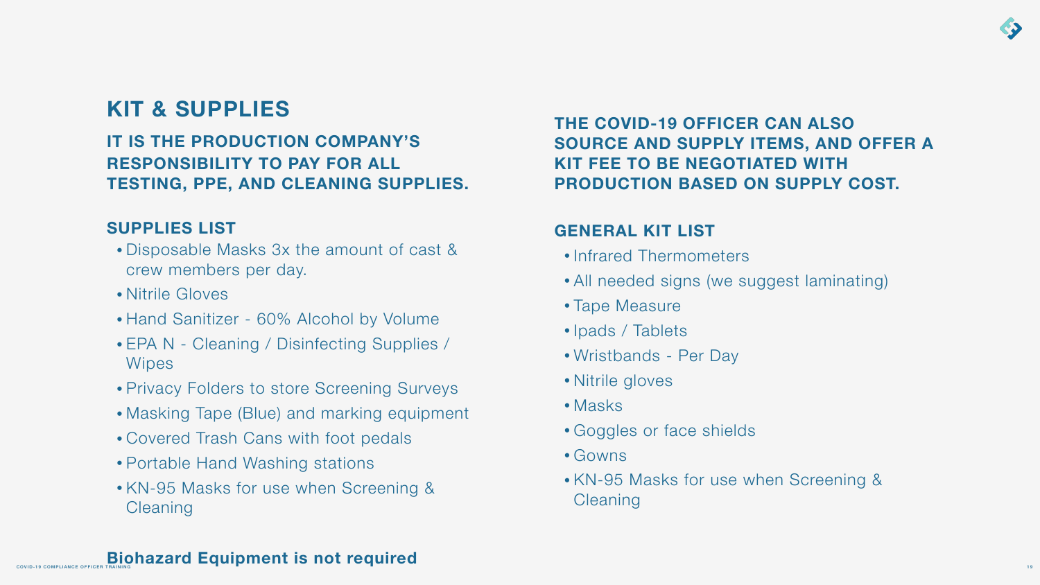# **KIT & SUPPLIES**

- Disposable Masks 3x the amount of cast & crew members per day.
- Nitrile Gloves
- Hand Sanitizer 60% Alcohol by Volume
- EPA N Cleaning / Disinfecting Supplies / **Wipes**
- Privacy Folders to store Screening Surveys
- Masking Tape (Blue) and marking equipment
- Covered Trash Cans with foot pedals
- Portable Hand Washing stations
- KN-95 Masks for use when Screening & **Cleaning**

### **Biohazard Equipment is not required**

**IT IS THE PRODUCTION COMPANY'S RESPONSIBILITY TO PAY FOR ALL TESTING, PPE, AND CLEANING SUPPLIES.** 

### **SUPPLIES LIST**

- Infrared Thermometers
- All needed signs (we suggest laminating)
- Tape Measure
- Ipads / Tablets
- Wristbands Per Day
- Nitrile gloves
- Masks
- Goggles or face shields
- Gowns
- KN-95 Masks for use when Screening & **Cleaning**



### **THE COVID-19 OFFICER CAN ALSO SOURCE AND SUPPLY ITEMS, AND OFFER A KIT FEE TO BE NEGOTIATED WITH PRODUCTION BASED ON SUPPLY COST.**

### **GENERAL KIT LIST**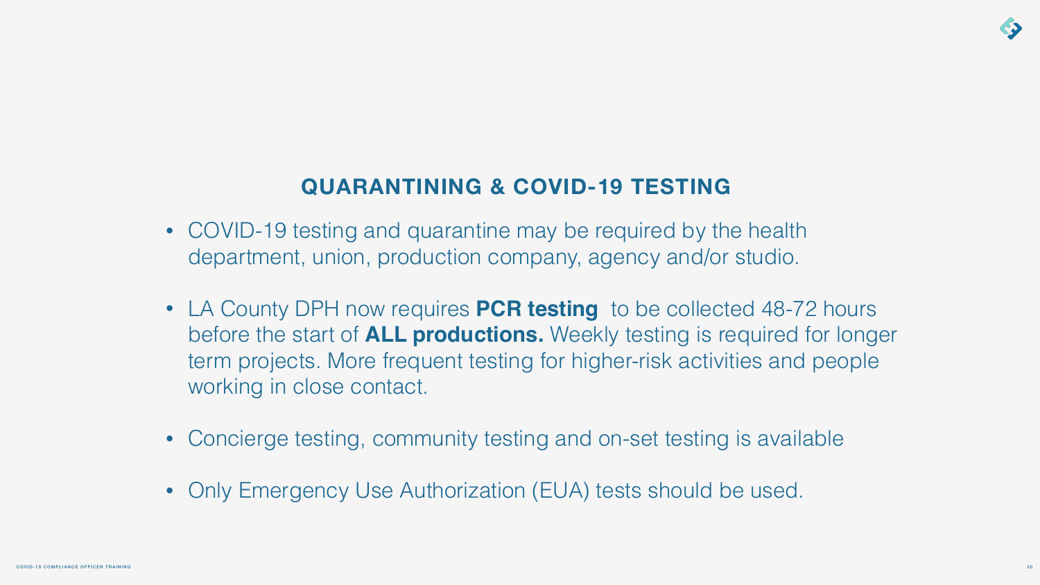# **QUARANTINING & COVID-19 TESTING**

• COVID-19 testing and quarantine may be required by the health department, union, production company, agency and/or studio.

• LA County DPH now requires **PCR testing** to be collected 48-72 hours before the start of **ALL productions.** Weekly testing is required for longer term projects. More frequent testing for higher-risk activities and people

- 
- working in close contact.
- 
- 

• Concierge testing, community testing and on-set testing is available

• Only Emergency Use Authorization (EUA) tests should be used.

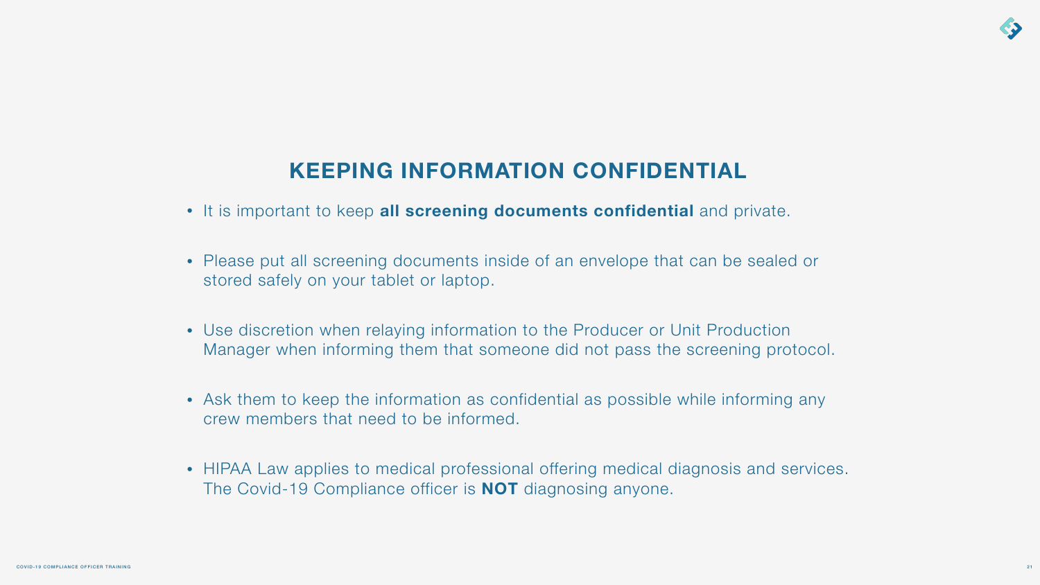

# **KEEPING INFORMATION CONFIDENTIAL**

- It is important to keep **all screening documents confidential** and private.
- Please put all screening documents inside of an envelope that can be sealed or stored safely on your tablet or laptop.
- Use discretion when relaying information to the Producer or Unit Production Manager when informing them that someone did not pass the screening protocol.
- Ask them to keep the information as confidential as possible while informing any crew members that need to be informed.
- HIPAA Law applies to medical professional offering medical diagnosis and services. The Covid-19 Compliance officer is **NOT** diagnosing anyone.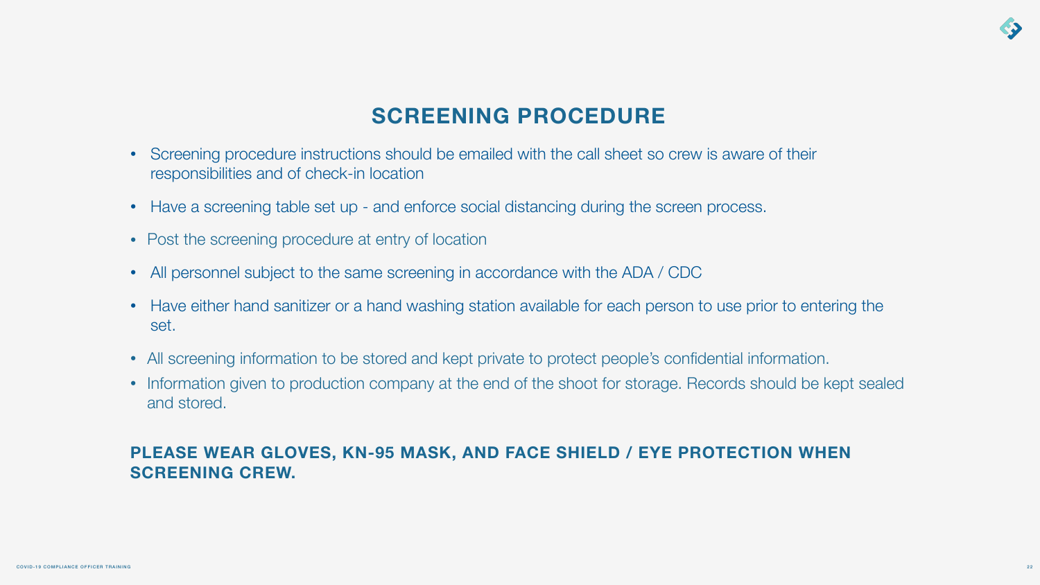# **SCREENING PROCEDURE**

- Screening procedure instructions should be emailed with the call sheet so crew is aware of their responsibilities and of check-in location
- Have a screening table set up and enforce social distancing during the screen process.
- Post the screening procedure at entry of location
- All personnel subject to the same screening in accordance with the ADA / CDC
- set.
- All screening information to be stored and kept private to protect people's confidential information.
- and stored.

• Have either hand sanitizer or a hand washing station available for each person to use prior to entering the

• Information given to production company at the end of the shoot for storage. Records should be kept sealed



### **PLEASE WEAR GLOVES, KN-95 MASK, AND FACE SHIELD / EYE PROTECTION WHEN SCREENING CREW.**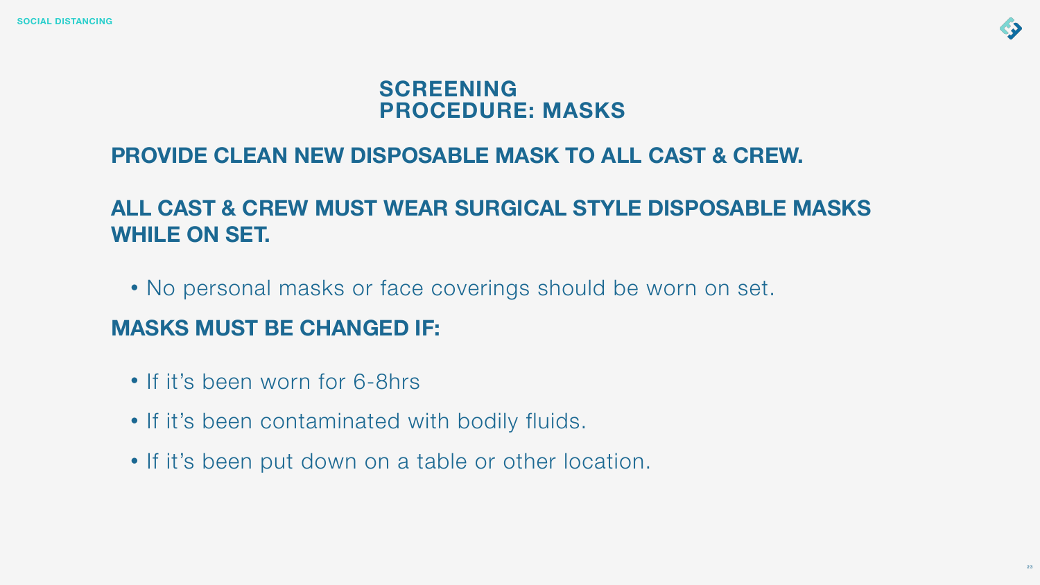# **PROVIDE CLEAN NEW DISPOSABLE MASK TO ALL CAST & CREW.**

# **ALL CAST & CREW MUST WEAR SURGICAL STYLE DISPOSABLE MASKS WHILE ON SET.**

• No personal masks or face coverings should be worn on set.

- If it's been worn for 6-8hrs
- If it's been contaminated with bodily fluids.
- If it's been put down on a table or other location.



# **MASKS MUST BE CHANGED IF:**

# **SCREENING PROCEDURE: MASKS**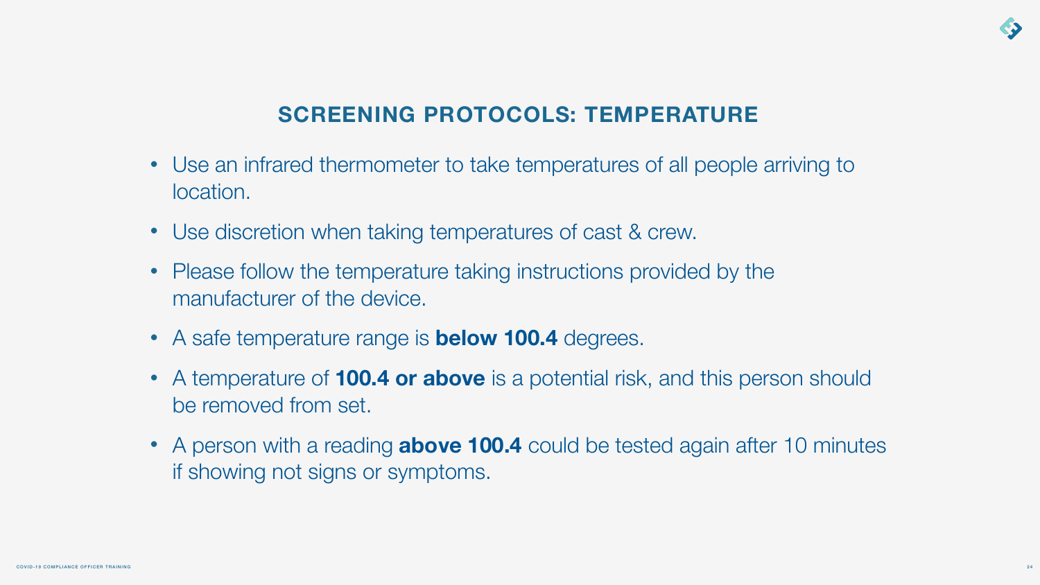- Use an infrared thermometer to take temperatures of all people arriving to location.
- Use discretion when taking temperatures of cast & crew.
- Please follow the temperature taking instructions provided by the manufacturer of the device.
- A safe temperature range is **below 100.4** degrees.
- A temperature of **100.4 or above** is a potential risk, and this person should be removed from set.
- A person with a reading **above 100.4** could be tested again after 10 minutes if showing not signs or symptoms.



# **SCREENING PROTOCOLS: TEMPERATURE**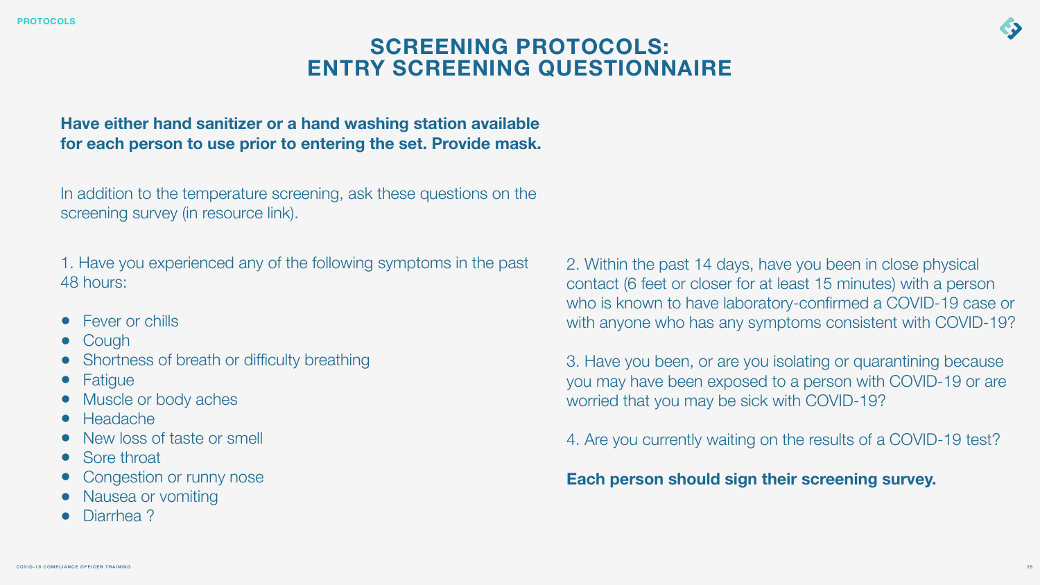### **Have either hand sanitizer or a hand washing station available for each person to use prior to entering the set. Provide mask.**

In addition to the temperature screening, ask these questions on the screening survey (in resource link).

- 
- Cough
- Shortness of breath or difficulty breathing
- Fatigue
- Muscle or body aches
- Headache
- New loss of taste or smell
- Sore throat
- Congestion or runny nose
- Nausea or vomiting
- Diarrhea?

1. Have you experienced any of the following symptoms in the past 48 hours: • Fever or chills 2. Within the past 14 days, have you been in close physical contact (6 feet or closer for at least 15 minutes) with a person who is known to have laboratory-confirmed a COVID-19 case or with anyone who has any symptoms consistent with COVID-19?

## **SCREENING PROTOCOLS: ENTRY SCREENING QUESTIONNAIRE**

3. Have you been, or are you isolating or quarantining because you may have been exposed to a person with COVID-19 or are worried that you may be sick with COVID-19?

4. Are you currently waiting on the results of a COVID-19 test?

**Each person should sign their screening survey.** 







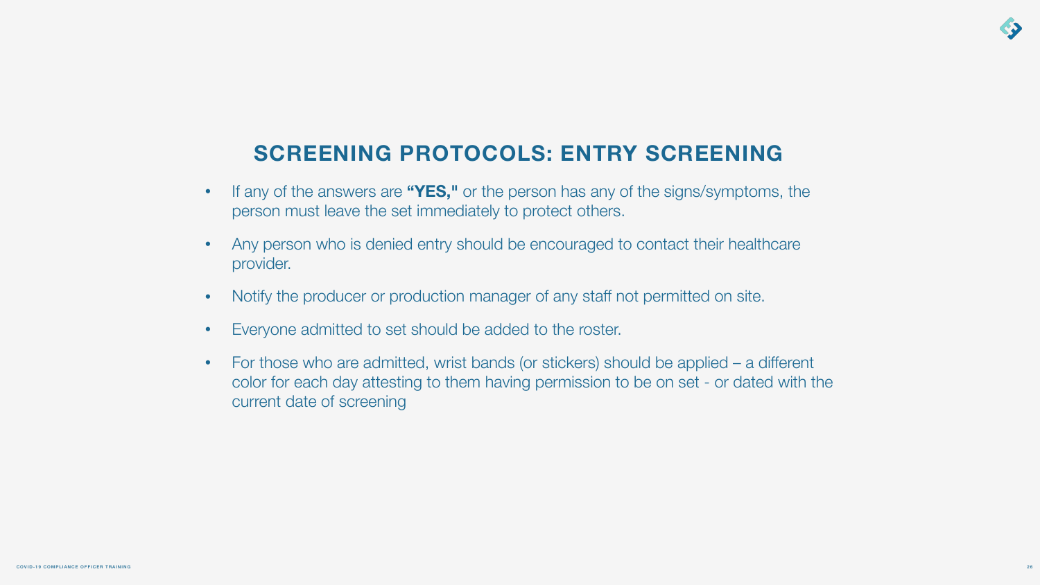- If any of the answers are **"YES,"** or the person has any of the signs/symptoms, the person must leave the set immediately to protect others.
- Any person who is denied entry should be encouraged to contact their healthcare provider.
- Notify the producer or production manager of any staff not permitted on site.
- Everyone admitted to set should be added to the roster.
- For those who are admitted, wrist bands (or stickers) should be applied a different color for each day attesting to them having permission to be on set - or dated with the current date of screening



# **SCREENING PROTOCOLS: ENTRY SCREENING**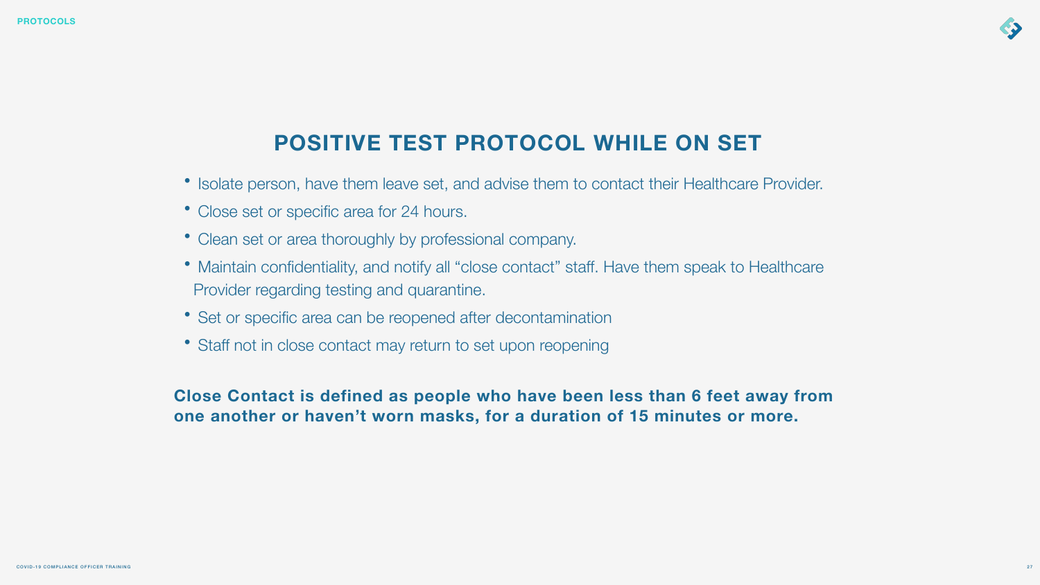- Isolate person, have them leave set, and advise them to contact their Healthcare Provider.
- Close set or specific area for 24 hours.
- Clean set or area thoroughly by professional company.
- Maintain confidentiality, and notify all "close contact" staff. Have them speak to Healthcare Provider regarding testing and quarantine.
- Set or specific area can be reopened after decontamination
- Staff not in close contact may return to set upon reopening

**Close Contact is defined as people who have been less than 6 feet away from** 



27

# **one another or haven't worn masks, for a duration of 15 minutes or more.**

# **POSITIVE TEST PROTOCOL WHILE ON SET**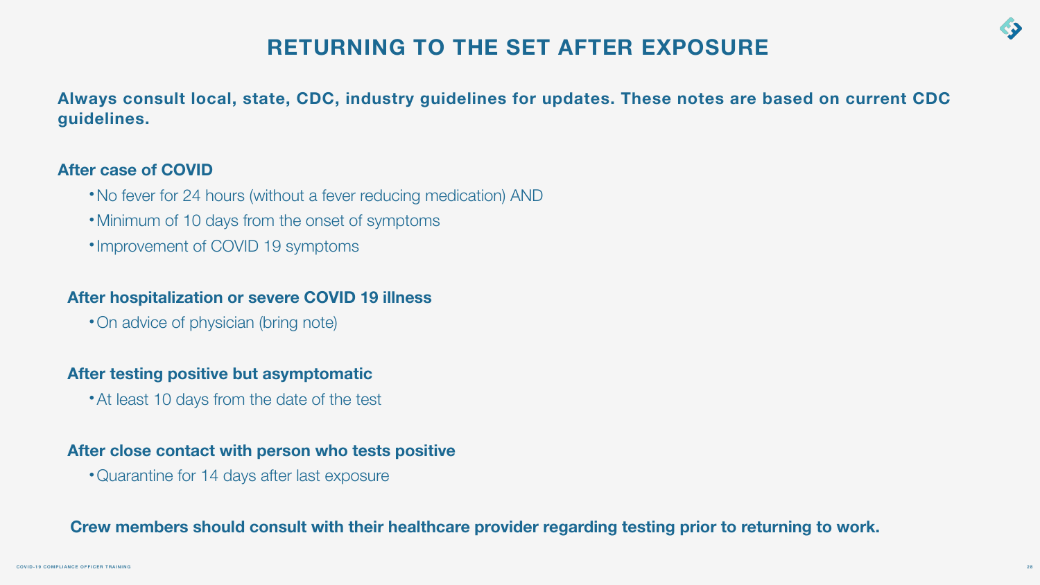# **RETURNING TO THE SET AFTER EXPOSURE**

- •No fever for 24 hours (without a fever reducing medication) AND
- •Minimum of 10 days from the onset of symptoms
- •Improvement of COVID 19 symptoms

**Always consult local, state, CDC, industry guidelines for updates. These notes are based on current CDC** 



# **guidelines.**

### **After case of COVID**

### **After hospitalization or severe COVID 19 illness**

•On advice of physician (bring note)

### **After testing positive but asymptomatic**

• At least 10 days from the date of the test

### **After close contact with person who tests positive**

•Quarantine for 14 days after last exposure

### **Crew members should consult with their healthcare provider regarding testing prior to returning to work.**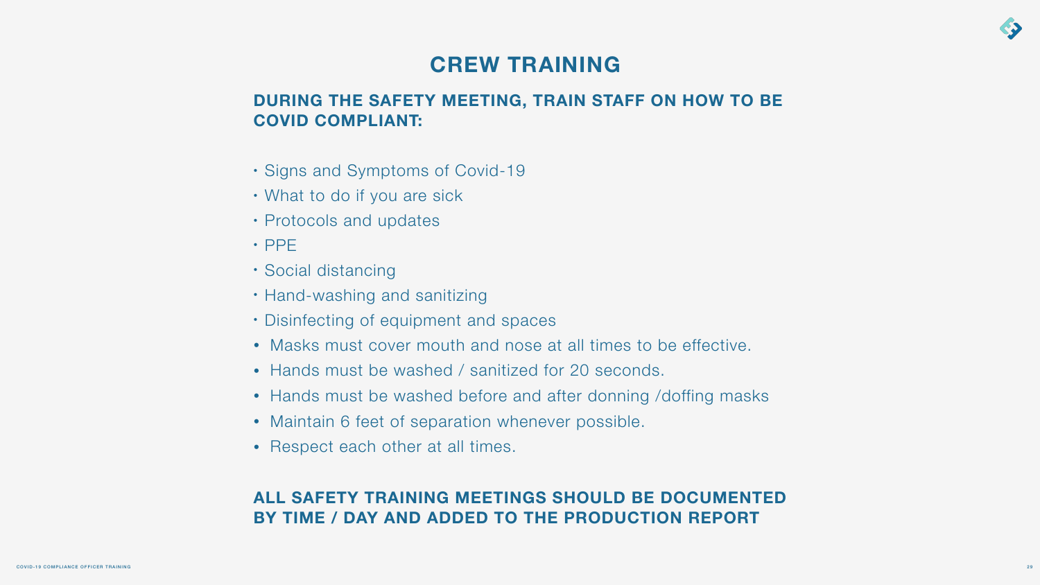### **DURING THE SAFETY MEETING, TRAIN STAFF ON HOW TO BE COVID COMPLIANT:**

• Masks must cover mouth and nose at all times to be effective.

- Signs and Symptoms of Covid-19
- What to do if you are sick
- Protocols and updates
- PPE
- Social distancing
- Hand-washing and sanitizing
- Disinfecting of equipment and spaces
- 
- Hands must be washed / sanitized for 20 seconds.
- 
- Maintain 6 feet of separation whenever possible.
- Respect each other at all times.

• Hands must be washed before and after donning /doffing masks



29

### **ALL SAFETY TRAINING MEETINGS SHOULD BE DOCUMENTED BY TIME / DAY AND ADDED TO THE PRODUCTION REPORT**

# **CREW TRAINING**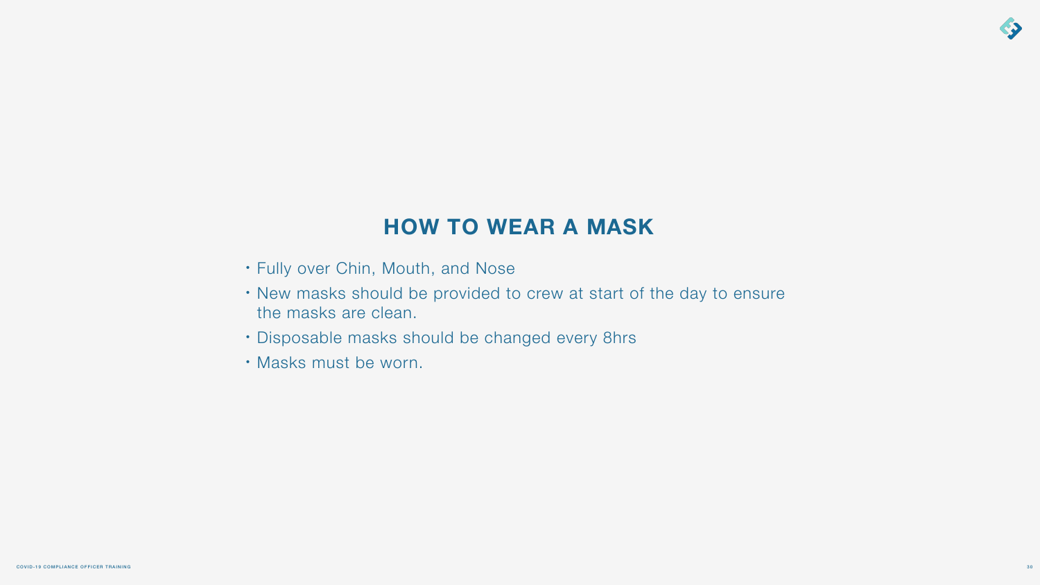• New masks should be provided to crew at start of the day to ensure



- Fully over Chin, Mouth, and Nose
- the masks are clean.
- Disposable masks should be changed every 8hrs
- Masks must be worn.

# **HOW TO WEAR A MASK**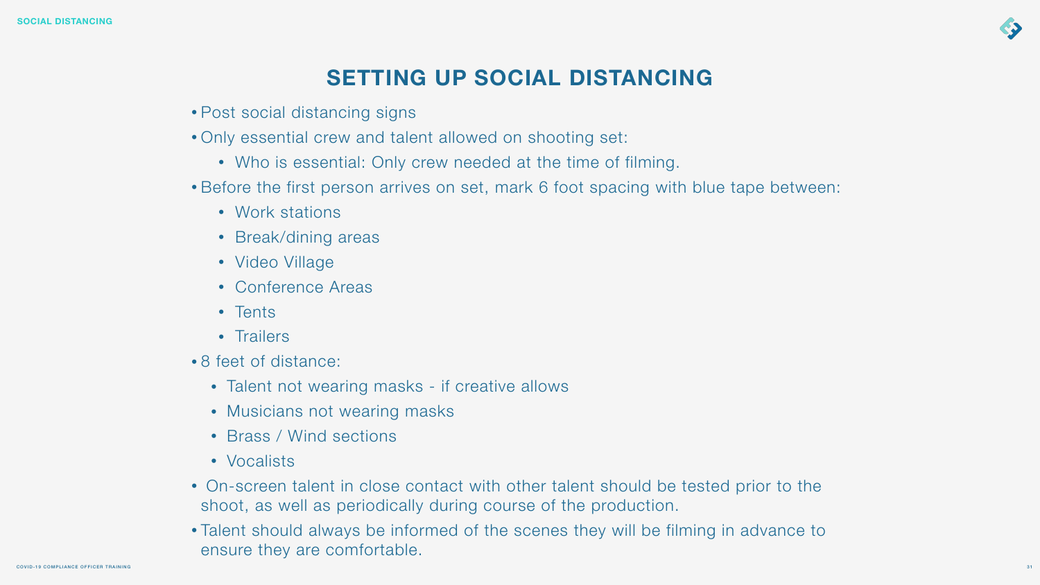• Before the first person arrives on set, mark 6 foot spacing with blue tape between:

- Post social distancing signs
- Only essential crew and talent allowed on shooting set:
	- Who is essential: Only crew needed at the time of filming.
- - Work stations
	- Break/dining areas
	- Video Village
	- Conference Areas
	- Tents
	- Trailers
- 8 feet of distance:
	- Talent not wearing masks if creative allows
	- Musicians not wearing masks
	- Brass / Wind sections
	- Vocalists
- shoot, as well as periodically during course of the production.
- ensure they are comfortable.

• On-screen talent in close contact with other talent should be tested prior to the

• Talent should always be informed of the scenes they will be filming in advance to



# **SETTING UP SOCIAL DISTANCING**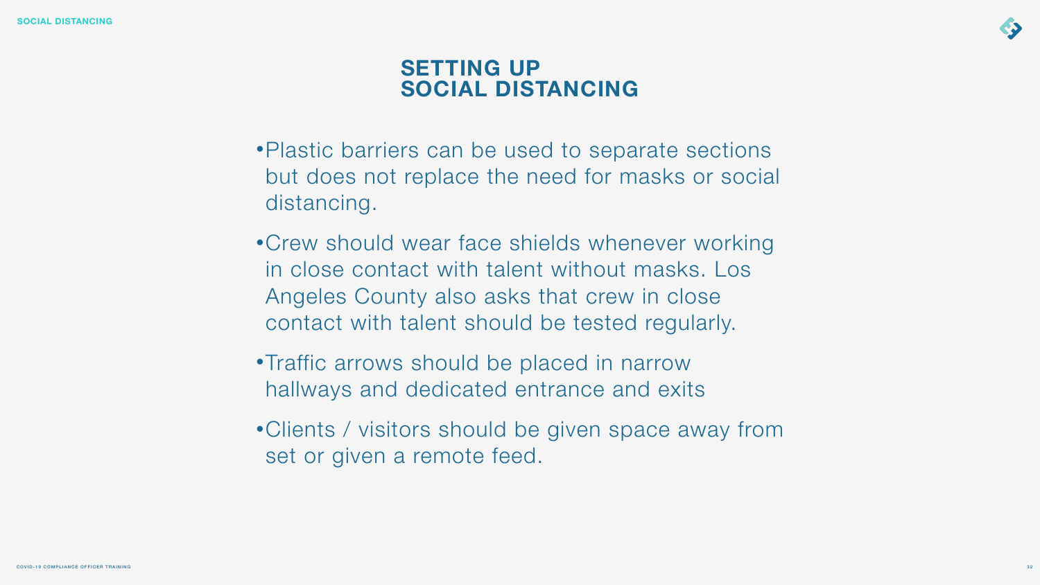•Plastic barriers can be used to separate sections but does not replace the need for masks or social

•Crew should wear face shields whenever working in close contact with talent without masks. Los Angeles County also asks that crew in close contact with talent should be tested regularly.

- distancing.
- 
- •Traffic arrows should be placed in narrow hallways and dedicated entrance and exits
- set or given a remote feed.

•Clients / visitors should be given space away from



# **SETTING UP SOCIAL DISTANCING**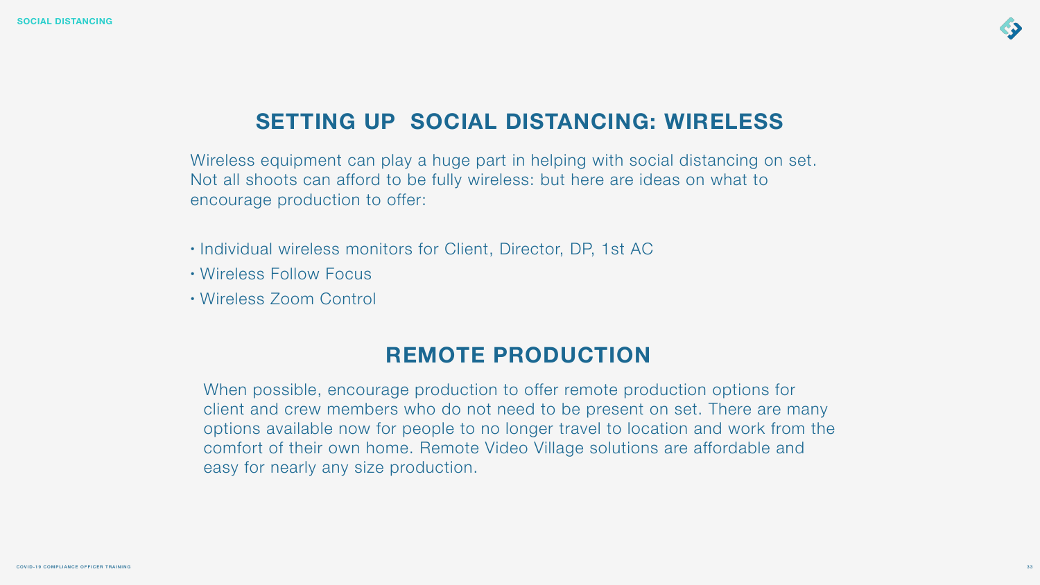Wireless equipment can play a huge part in helping with social distancing on set. Not all shoots can afford to be fully wireless: but here are ideas on what to encourage production to offer:

- Individual wireless monitors for Client, Director, DP, 1st AC
- Wireless Follow Focus
- Wireless Zoom Control



# **SETTING UP SOCIAL DISTANCING: WIRELESS**

# **REMOTE PRODUCTION**

When possible, encourage production to offer remote production options for client and crew members who do not need to be present on set. There are many options available now for people to no longer travel to location and work from the comfort of their own home. Remote Video Village solutions are affordable and easy for nearly any size production.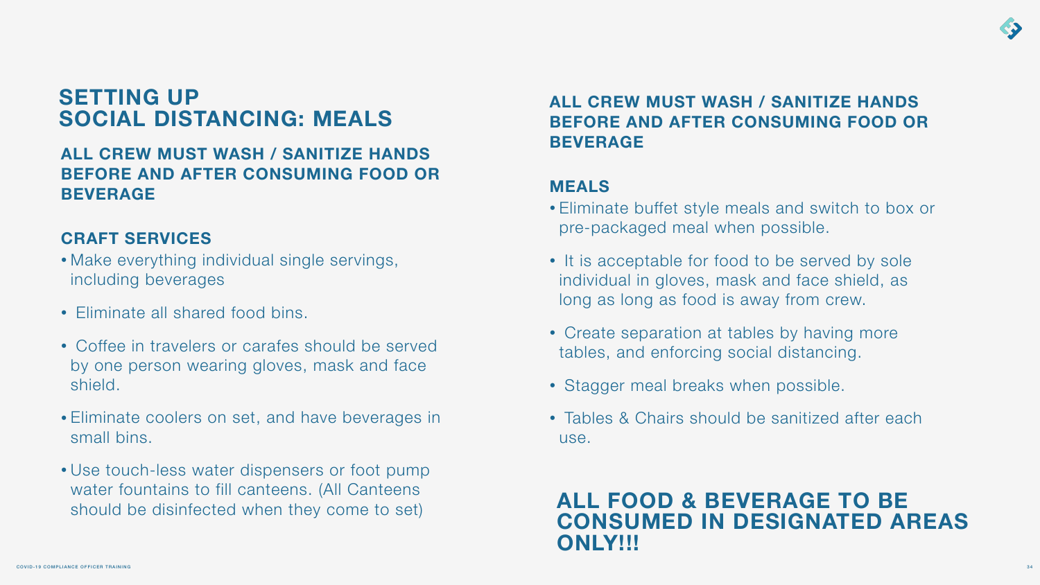### **ALL CREW MUST WASH / SANITIZE HANDS BEFORE AND AFTER CONSUMING FOOD OR BEVERAGE**

### **CRAFT SERVICES**

- Make everything individual single servings, including beverages
- Eliminate all shared food bins.
- Coffee in travelers or carafes should be served by one person wearing gloves, mask and face shield.
- Eliminate coolers on set, and have beverages in small bins.
- Use touch-less water dispensers or foot pump water fountains to fill canteens. (All Canteens should be disinfected when they come to set)

# **SETTING UP SOCIAL DISTANCING: MEALS**

### **ALL CREW MUST WASH / SANITIZE HANDS BEFORE AND AFTER CONSUMING FOOD OR BEVERAGE**

### **MEALS**

- Eliminate buffet style meals and switch to box or pre-packaged meal when possible.
- It is acceptable for food to be served by sole individual in gloves, mask and face shield, as long as long as food is away from crew.
- Create separation at tables by having more tables, and enforcing social distancing.
- Stagger meal breaks when possible.
- Tables & Chairs should be sanitized after each use.

### **ALL FOOD & BEVERAGE TO BE CONSUMED IN DESIGNATED AREAS ONLY!!!**

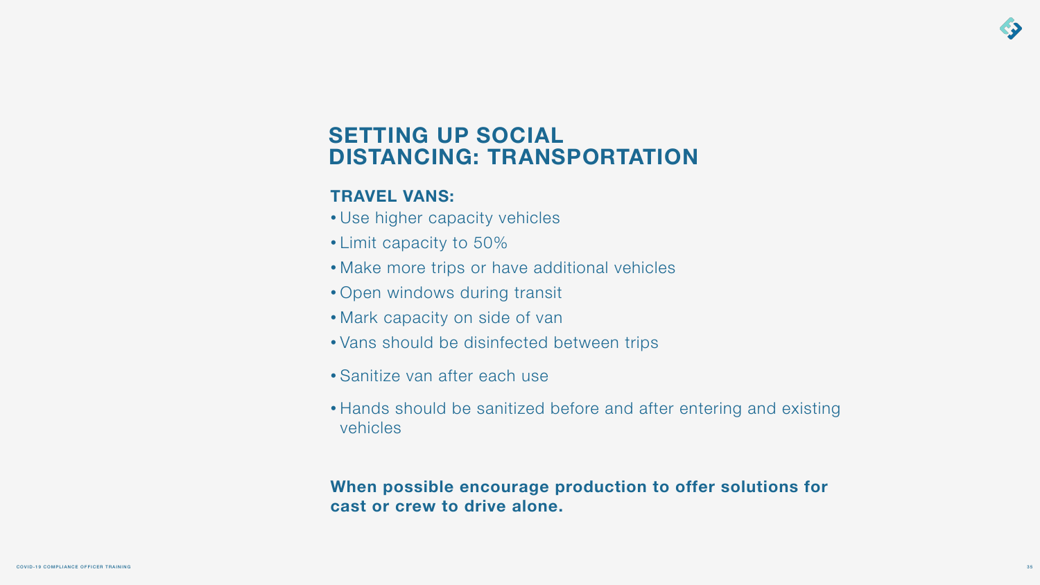### **TRAVEL VANS:**

- Use higher capacity vehicles
- Limit capacity to 50%
- Make more trips or have additional vehicles
- Open windows during transit
- Mark capacity on side of van
- Vans should be disinfected between trips
- Sanitize van after each use
- Hands should be sanitized before and after entering and existing vehicles

# **When possible encourage production to offer solutions for**



**cast or crew to drive alone.**

# **SETTING UP SOCIAL DISTANCING: TRANSPORTATION**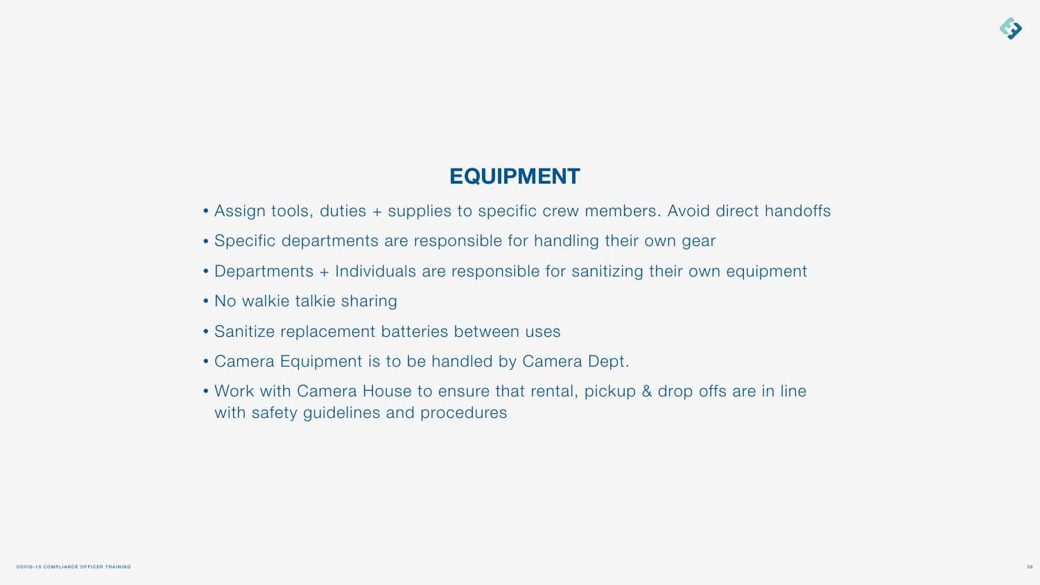

# **EQUIPMENT**

- Assign tools, duties + supplies to specific crew members. Avoid direct handoffs
- Specific departments are responsible for handling their own gear
- Departments + Individuals are responsible for sanitizing their own equipment
- No walkie talkie sharing
- Sanitize replacement batteries between uses
- Camera Equipment is to be handled by Camera Dept.
- Work with Camera House to ensure that rental, pickup & drop offs are in line with safety guidelines and procedures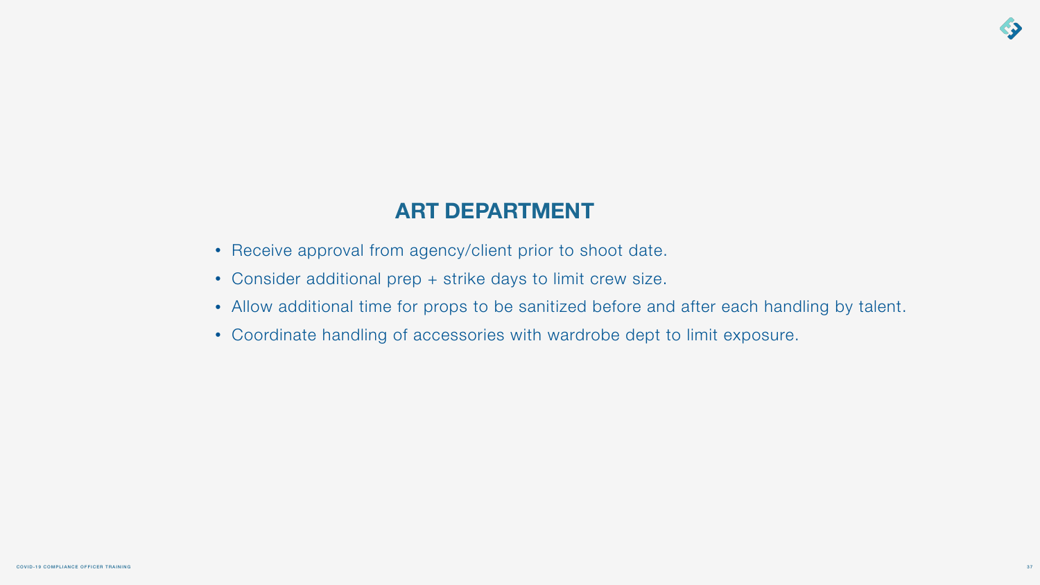

# **ART DEPARTMENT**

- Receive approval from agency/client prior to shoot date.
- Consider additional prep + strike days to limit crew size.
- Allow additional time for props to be sanitized before and after each handling by talent.
- Coordinate handling of accessories with wardrobe dept to limit exposure.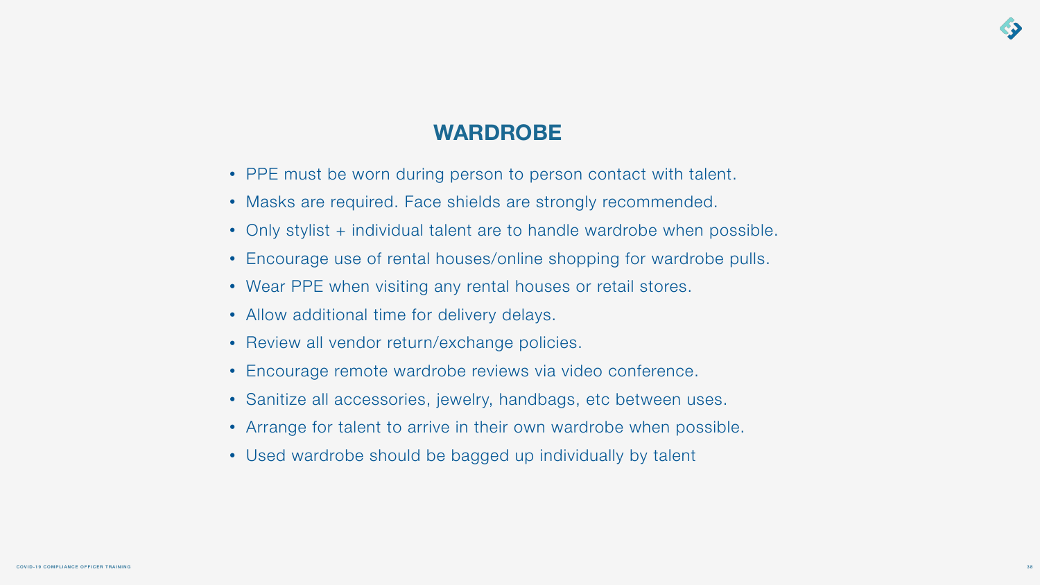

# **WARDROBE**

- PPE must be worn during person to person contact with talent.
- Masks are required. Face shields are strongly recommended.
- Only stylist + individual talent are to handle wardrobe when possible.
- Encourage use of rental houses/online shopping for wardrobe pulls.
- Wear PPE when visiting any rental houses or retail stores.
- Allow additional time for delivery delays.
- Review all vendor return/exchange policies.
- Encourage remote wardrobe reviews via video conference.
- Sanitize all accessories, jewelry, handbags, etc between uses.
- Arrange for talent to arrive in their own wardrobe when possible.
- Used wardrobe should be bagged up individually by talent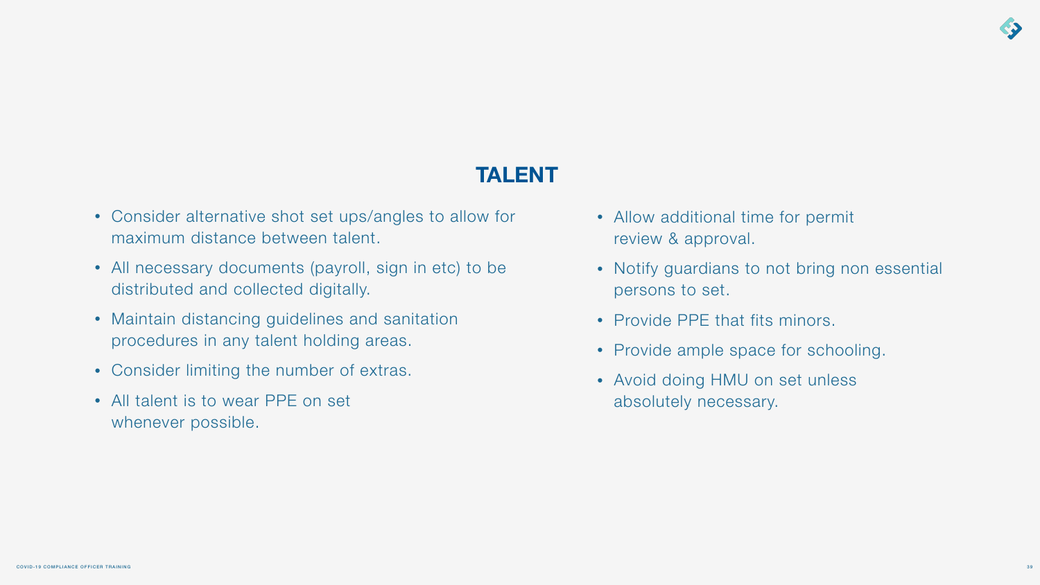# **TALENT**

- Consider alternative shot set ups/angles to allow for maximum distance between talent.
- All necessary documents (payroll, sign in etc) to be distributed and collected digitally.
- Maintain distancing guidelines and sanitation procedures in any talent holding areas.
- Consider limiting the number of extras.
- All talent is to wear PPE on set whenever possible.
- Allow additional time for permit review & approval.
- Notify guardians to not bring non essential persons to set.
- Provide PPE that fits minors.
- Provide ample space for schooling.
- Avoid doing HMU on set unless absolutely necessary.

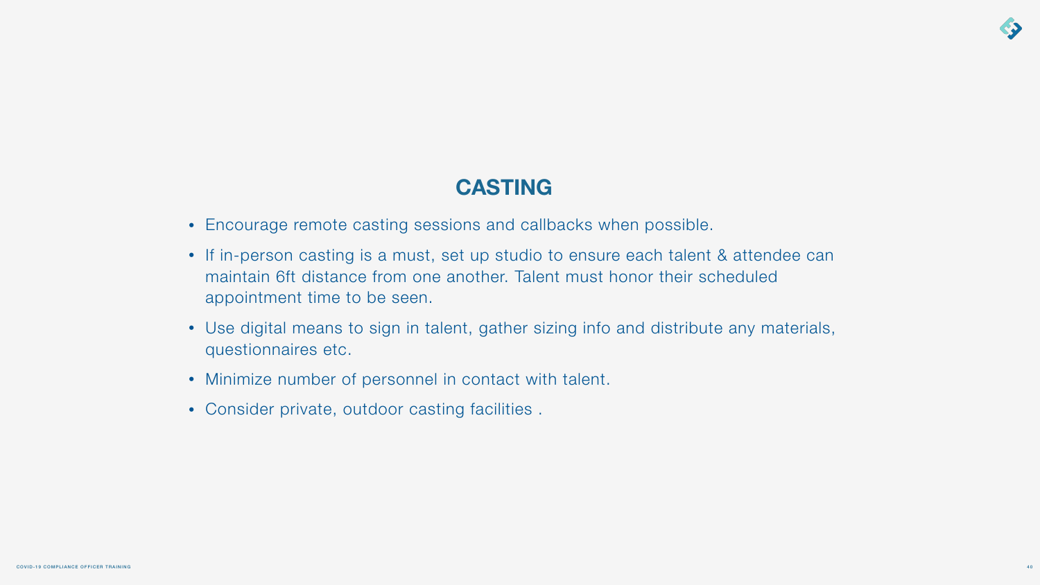# **CASTING**

• If in-person casting is a must, set up studio to ensure each talent & attendee can maintain 6ft distance from one another. Talent must honor their scheduled

- Encourage remote casting sessions and callbacks when possible.
- appointment time to be seen.
- questionnaires etc.
- Minimize number of personnel in contact with talent.
- Consider private, outdoor casting facilities .

• Use digital means to sign in talent, gather sizing info and distribute any materials,

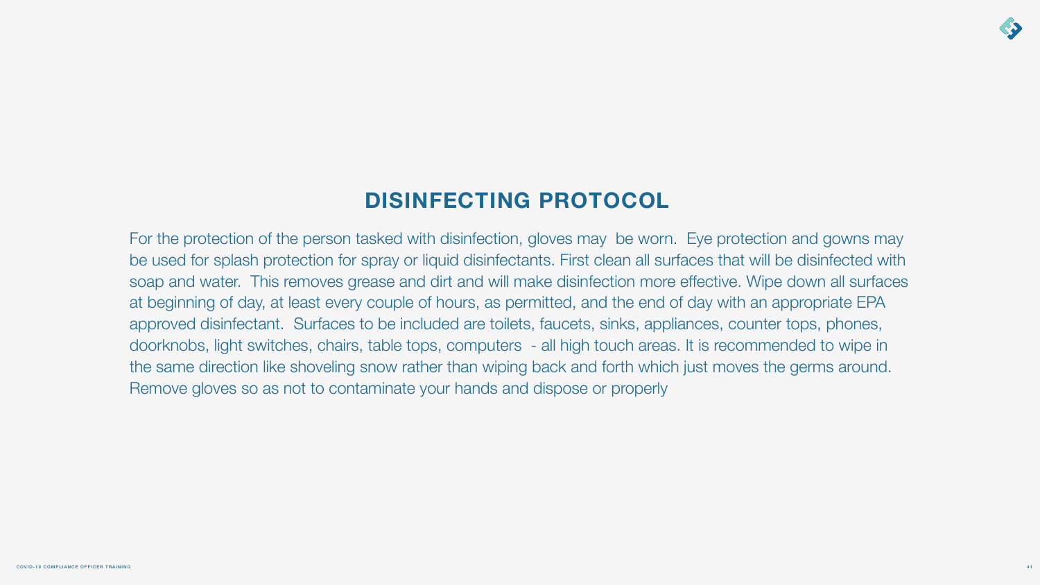

# **DISINFECTING PROTOCOL**

For the protection of the person tasked with disinfection, gloves may be worn. Eye protection and gowns may be used for splash protection for spray or liquid disinfectants. First clean all surfaces that will be disinfected with soap and water. This removes grease and dirt and will make disinfection more effective. Wipe down all surfaces at beginning of day, at least every couple of hours, as permitted, and the end of day with an appropriate EPA approved disinfectant. Surfaces to be included are toilets, faucets, sinks, appliances, counter tops, phones, doorknobs, light switches, chairs, table tops, computers - all high touch areas. It is recommended to wipe in the same direction like shoveling snow rather than wiping back and forth which just moves the germs around. Remove gloves so as not to contaminate your hands and dispose or properly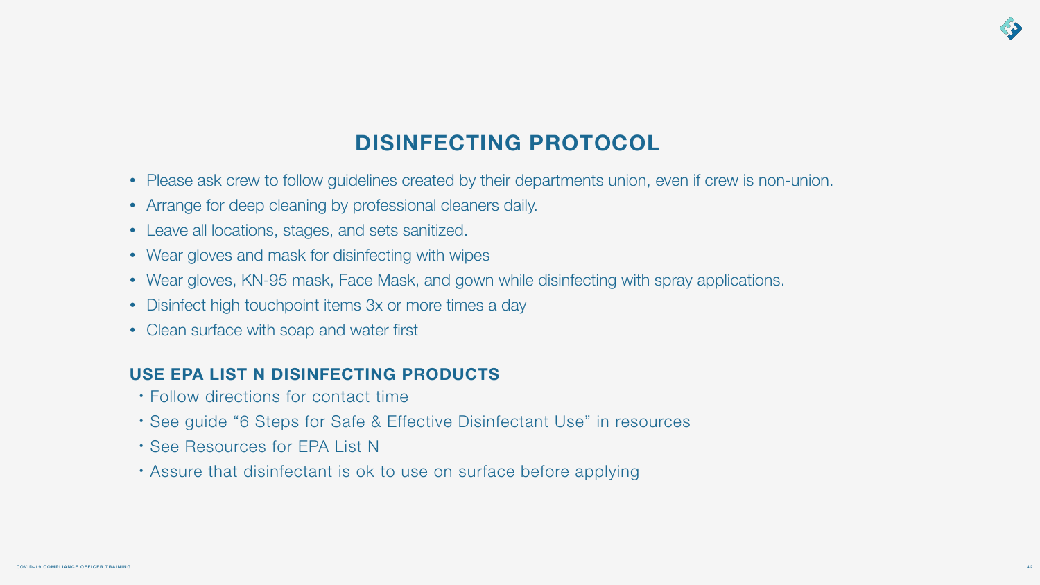

# **DISINFECTING PROTOCOL**

- Please ask crew to follow guidelines created by their departments union, even if crew is non-union.
- Arrange for deep cleaning by professional cleaners daily.
- Leave all locations, stages, and sets sanitized.
- Wear gloves and mask for disinfecting with wipes
- Wear gloves, KN-95 mask, Face Mask, and gown while disinfecting with spray applications.
- Disinfect high touchpoint items 3x or more times a day
- Clean surface with soap and water first

### **USE EPA LIST N DISINFECTING PRODUCTS**

- Follow directions for contact time
- See guide "6 Steps for Safe & Effective Disinfectant Use" in resources
- See Resources for EPA List N
- Assure that disinfectant is ok to use on surface before applying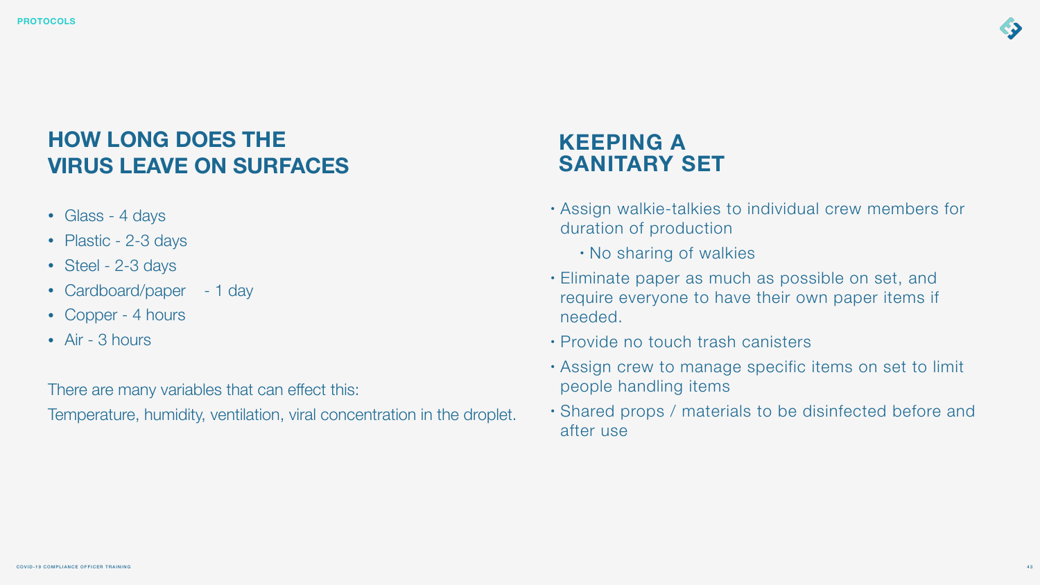# **KEEPING A SANITARY SET**

- Assign walkie-talkies to individual crew members for duration of production
	- No sharing of walkies
- Eliminate paper as much as possible on set, and require everyone to have their own paper items if needed.
- Provide no touch trash canisters
- Assign crew to manage specific items on set to limit people handling items
- Shared props / materials to be disinfected before and after use



# **HOW LONG DOES THE VIRUS LEAVE ON SURFACES**

- Glass 4 days
- Plastic 2-3 days
- Steel 2-3 days
- Cardboard/paper 1 day
- Copper 4 hours
- Air 3 hours

There are many variables that can effect this:

Temperature, humidity, ventilation, viral concentration in the droplet.